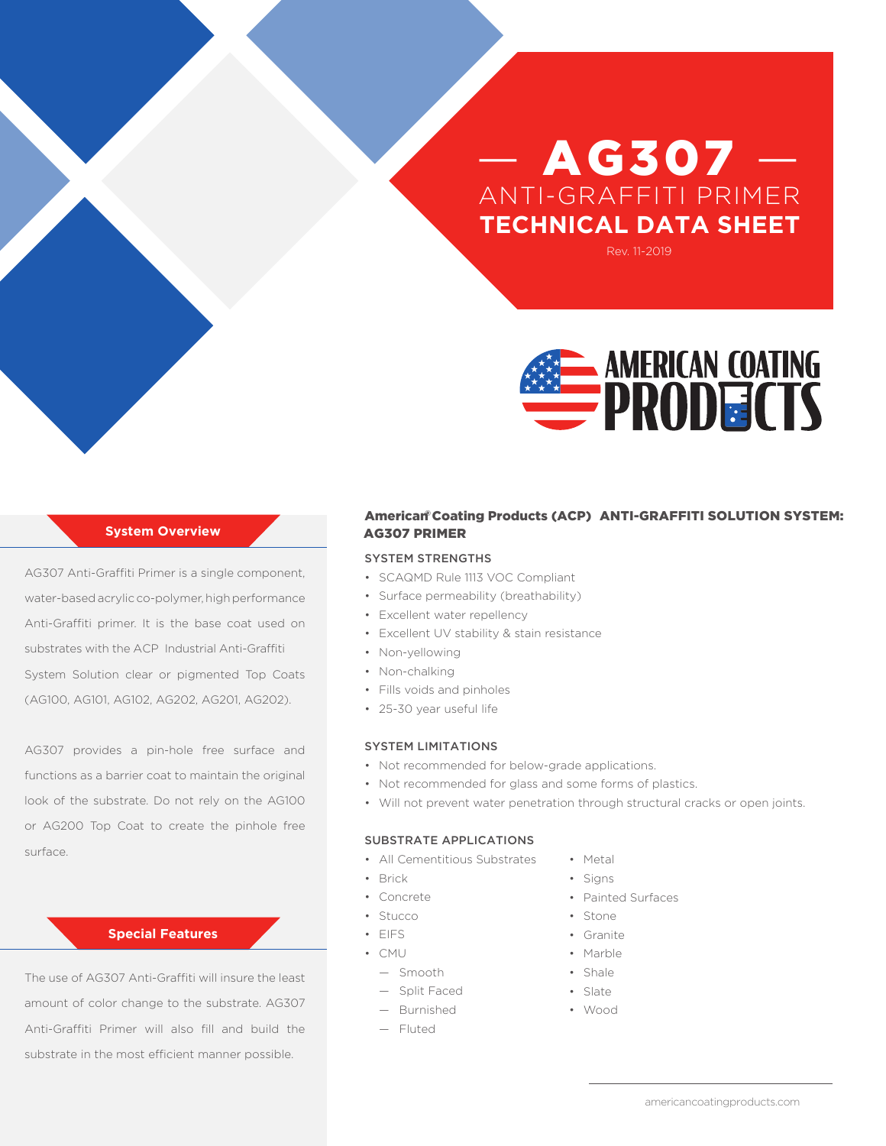# AG307 ANTI-GRAFFITI PRIMER **TECHNICAL DATA SHEET**

Rev. 11-2019



# **System Overview**

AG307 Anti-Graffiti Primer is a single component, water-based acrylic co-polymer, high performance Anti-Graffiti primer. It is the base coat used on substrates with the ACP Industrial Anti-Graffiti System Solution clear or pigmented Top Coats (AG100, AG101, AG102, AG202, AG201, AG202).

AG307 provides a pin-hole free surface and functions as a barrier coat to maintain the original look of the substrate. Do not rely on the AG100 or AG200 Top Coat to create the pinhole free surface.

# **Special Features**

The use of AG307 Anti-Graffiti will insure the least amount of color change to the substrate. AG307 Anti-Graffiti Primer will also fill and build the substrate in the most efficient manner possible.

# American Coating Products (ACP) ANTI-GRAFFITI SOLUTION SYSTEM: AG307 PRIMER

# SYSTEM STRENGTHS

- SCAQMD Rule 1113 VOC Compliant
- Surface permeability (breathability)
- Excellent water repellency
- Excellent UV stability & stain resistance
- Non-yellowing
- Non-chalking
- Fills voids and pinholes
- 25-30 year useful life

## SYSTEM LIMITATIONS

- Not recommended for below-grade applications.
- Not recommended for glass and some forms of plastics.
- Will not prevent water penetration through structural cracks or open joints.

## SUBSTRATE APPLICATIONS

- All Cementitious Substrates
- Brick
- Concrete
- Stucco
- EIFS
- $\cdot$  CMU
- Smooth
- Split Faced
- Burnished
- Fluted
- Metal
- Signs
- Painted Surfaces
- Stone
- Granite
- Marble
- Shale
- Slate
- Wood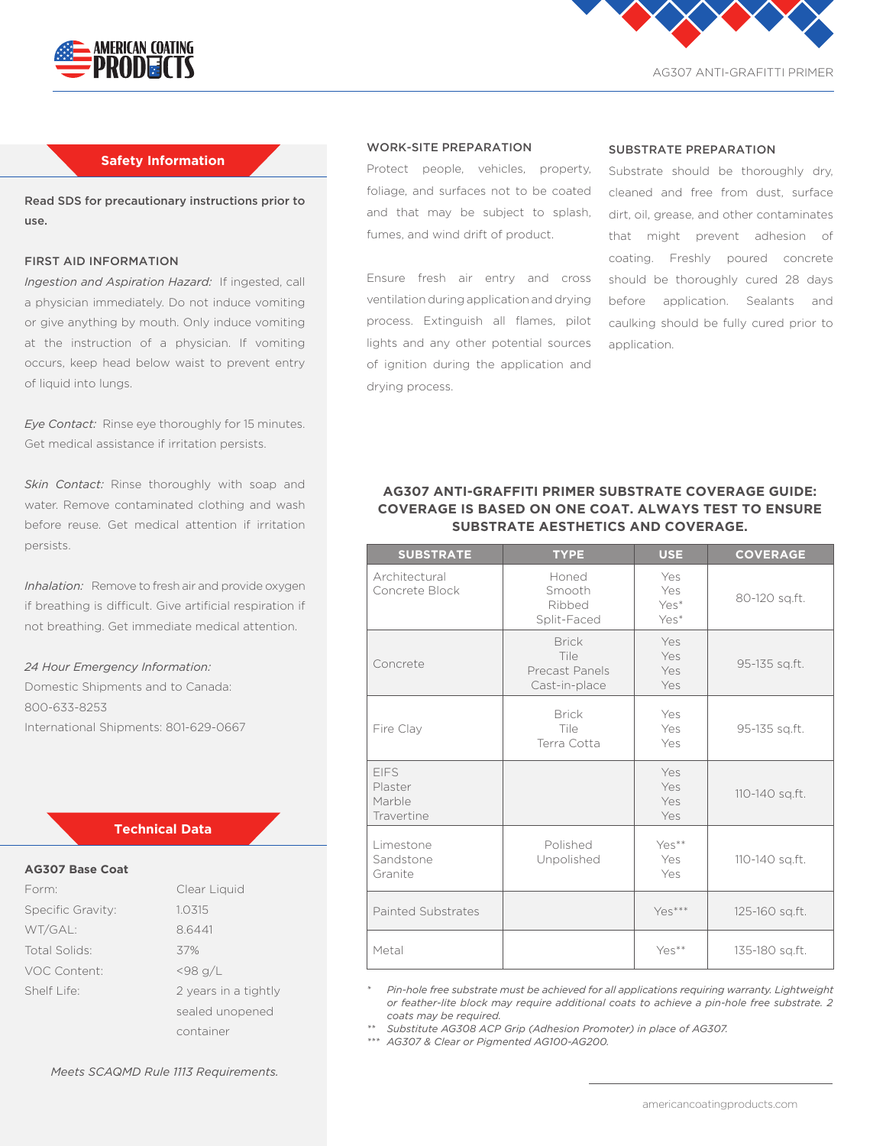



AG307 ANTI-GRAFITTI PRIMER

# **Safety Information**

Read SDS for precautionary instructions prior to use.

# FIRST AID INFORMATION

*Ingestion and Aspiration Hazard:* If ingested, call a physician immediately. Do not induce vomiting or give anything by mouth. Only induce vomiting at the instruction of a physician. If vomiting occurs, keep head below waist to prevent entry of liquid into lungs.

*Eye Contact:* Rinse eye thoroughly for 15 minutes. Get medical assistance if irritation persists.

*Skin Contact:* Rinse thoroughly with soap and water. Remove contaminated clothing and wash before reuse. Get medical attention if irritation persists.

*Inhalation:* Remove to fresh air and provide oxygen if breathing is difficult. Give artificial respiration if not breathing. Get immediate medical attention.

*24 Hour Emergency Information:*

Domestic Shipments and to Canada: 800-633-8253 International Shipments: 801-629-0667

# **Technical Data**

#### **AG307 Base Coat**

| Form:             | Clear Liquid         |  |
|-------------------|----------------------|--|
| Specific Gravity: | 1.0315               |  |
| WT/GAL:           | 8.6441               |  |
| Total Solids:     | 37%                  |  |
| VOC Content:      | $<$ 98 g/L           |  |
| Shelf Life:       | 2 years in a tightly |  |
|                   | sealed unopened      |  |
|                   | container            |  |
|                   |                      |  |

#### WORK-SITE PREPARATION

Protect people, vehicles, property, foliage, and surfaces not to be coated and that may be subject to splash, fumes, and wind drift of product.

Ensure fresh air entry and cross ventilation during application and drying process. Extinguish all flames, pilot lights and any other potential sources of ignition during the application and drying process.

## SUBSTRATE PREPARATION

Substrate should be thoroughly dry, cleaned and free from dust, surface dirt, oil, grease, and other contaminates that might prevent adhesion of coating. Freshly poured concrete should be thoroughly cured 28 days before application. Sealants and caulking should be fully cured prior to application.

# **AG307 ANTI-GRAFFITI PRIMER SUBSTRATE COVERAGE GUIDE: COVERAGE IS BASED ON ONE COAT. ALWAYS TEST TO ENSURE SUBSTRATE AESTHETICS AND COVERAGE.**

| <b>SUBSTRATE</b>                               | <b>TYPE</b>                                             | <b>USE</b>                 | <b>COVERAGE</b> |
|------------------------------------------------|---------------------------------------------------------|----------------------------|-----------------|
| Architectural<br>Concrete Block                | Honed<br>Smooth<br>Ribbed<br>Split-Faced                | Yes<br>Yes<br>Yes*<br>Yes* | 80-120 sq.ft.   |
| Concrete                                       | <b>Brick</b><br>Tile<br>Precast Panels<br>Cast-in-place | Yes<br>Yes<br>Yes<br>Yes   | 95-135 sq.ft.   |
| Fire Clay                                      | <b>Brick</b><br>Tile<br>Terra Cotta                     | Yes<br>Yes<br>Yes          | 95-135 sq.ft.   |
| <b>FIFS</b><br>Plaster<br>Marble<br>Travertine |                                                         | Yes<br>Yes<br>Yes<br>Yes   | 110-140 sq.ft.  |
| Limestone<br>Sandstone<br>Granite              | Polished<br>Unpolished                                  | Yes**<br>Yes<br>Yes        | 110-140 sq.ft.  |
| Painted Substrates                             |                                                         | $Yes***$                   | 125-160 sq.ft.  |
| Metal                                          |                                                         | Yes**                      | 135-180 sq.ft.  |

*\* Pin-hole free substrate must be achieved for all applications requiring warranty. Lightweight or feather-lite block may require additional coats to achieve a pin-hole free substrate. 2 coats may be required.*

*\*\* Substitute AG308 ACP Grip (Adhesion Promoter) in place of AG307.*

*\*\*\* AG307 & Clear or Pigmented AG100-AG200.*

*Meets SCAQMD Rule 1113 Requirements.*